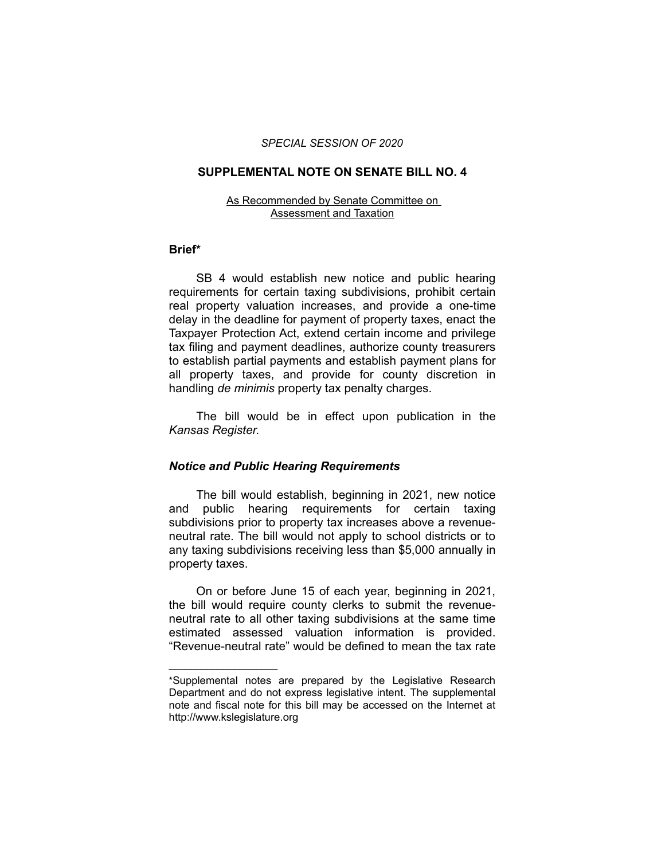#### *SPECIAL SESSION OF 2020*

## **SUPPLEMENTAL NOTE ON SENATE BILL NO. 4**

#### As Recommended by Senate Committee on Assessment and Taxation

## **Brief\***

SB 4 would establish new notice and public hearing requirements for certain taxing subdivisions, prohibit certain real property valuation increases, and provide a one-time delay in the deadline for payment of property taxes, enact the Taxpayer Protection Act, extend certain income and privilege tax filing and payment deadlines, authorize county treasurers to establish partial payments and establish payment plans for all property taxes, and provide for county discretion in handling *de minimis* property tax penalty charges.

The bill would be in effect upon publication in the *Kansas Register.*

## *Notice and Public Hearing Requirements*

 $\overline{\phantom{a}}$  , where  $\overline{\phantom{a}}$  , where  $\overline{\phantom{a}}$ 

The bill would establish, beginning in 2021, new notice and public hearing requirements for certain taxing subdivisions prior to property tax increases above a revenueneutral rate. The bill would not apply to school districts or to any taxing subdivisions receiving less than \$5,000 annually in property taxes.

On or before June 15 of each year, beginning in 2021, the bill would require county clerks to submit the revenueneutral rate to all other taxing subdivisions at the same time estimated assessed valuation information is provided. "Revenue-neutral rate" would be defined to mean the tax rate

<sup>\*</sup>Supplemental notes are prepared by the Legislative Research Department and do not express legislative intent. The supplemental note and fiscal note for this bill may be accessed on the Internet at http://www.kslegislature.org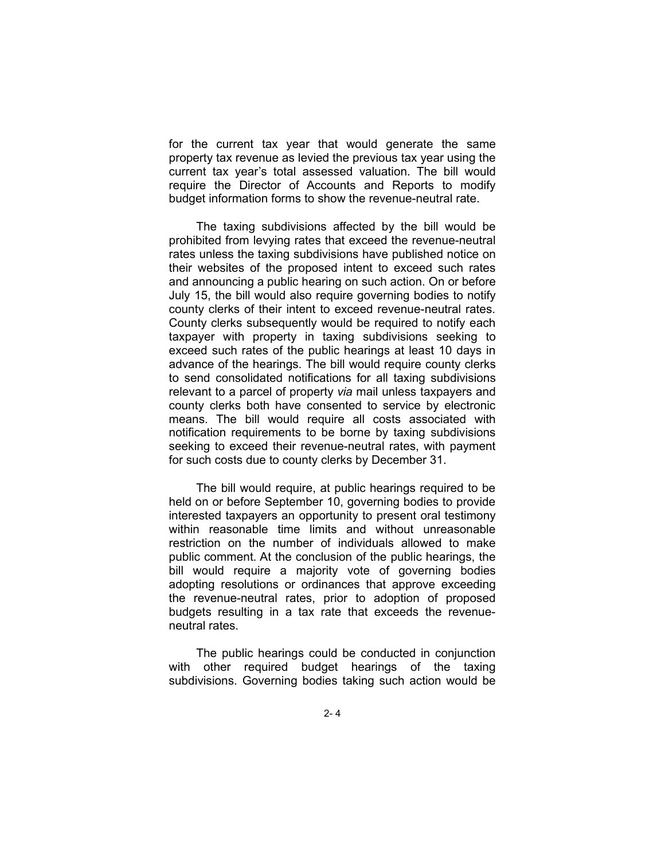for the current tax year that would generate the same property tax revenue as levied the previous tax year using the current tax year's total assessed valuation. The bill would require the Director of Accounts and Reports to modify budget information forms to show the revenue-neutral rate.

The taxing subdivisions affected by the bill would be prohibited from levying rates that exceed the revenue-neutral rates unless the taxing subdivisions have published notice on their websites of the proposed intent to exceed such rates and announcing a public hearing on such action. On or before July 15, the bill would also require governing bodies to notify county clerks of their intent to exceed revenue-neutral rates. County clerks subsequently would be required to notify each taxpayer with property in taxing subdivisions seeking to exceed such rates of the public hearings at least 10 days in advance of the hearings. The bill would require county clerks to send consolidated notifications for all taxing subdivisions relevant to a parcel of property *via* mail unless taxpayers and county clerks both have consented to service by electronic means. The bill would require all costs associated with notification requirements to be borne by taxing subdivisions seeking to exceed their revenue-neutral rates, with payment for such costs due to county clerks by December 31.

The bill would require, at public hearings required to be held on or before September 10, governing bodies to provide interested taxpayers an opportunity to present oral testimony within reasonable time limits and without unreasonable restriction on the number of individuals allowed to make public comment. At the conclusion of the public hearings, the bill would require a majority vote of governing bodies adopting resolutions or ordinances that approve exceeding the revenue-neutral rates, prior to adoption of proposed budgets resulting in a tax rate that exceeds the revenueneutral rates.

The public hearings could be conducted in conjunction with other required budget hearings of the taxing subdivisions. Governing bodies taking such action would be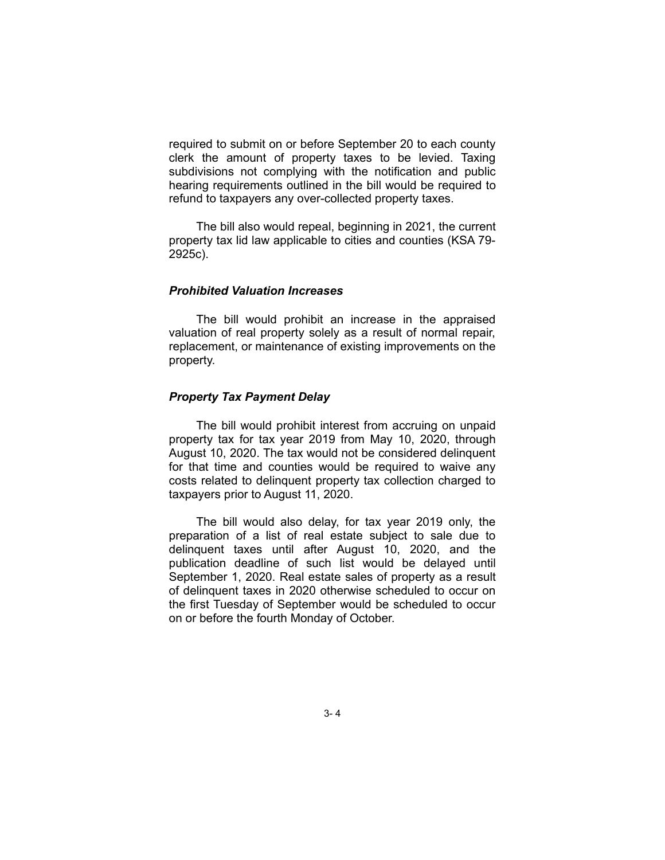required to submit on or before September 20 to each county clerk the amount of property taxes to be levied. Taxing subdivisions not complying with the notification and public hearing requirements outlined in the bill would be required to refund to taxpayers any over-collected property taxes.

The bill also would repeal, beginning in 2021, the current property tax lid law applicable to cities and counties (KSA 79- 2925c).

## *Prohibited Valuation Increases*

The bill would prohibit an increase in the appraised valuation of real property solely as a result of normal repair, replacement, or maintenance of existing improvements on the property.

## *Property Tax Payment Delay*

The bill would prohibit interest from accruing on unpaid property tax for tax year 2019 from May 10, 2020, through August 10, 2020. The tax would not be considered delinquent for that time and counties would be required to waive any costs related to delinquent property tax collection charged to taxpayers prior to August 11, 2020.

The bill would also delay, for tax year 2019 only, the preparation of a list of real estate subject to sale due to delinquent taxes until after August 10, 2020, and the publication deadline of such list would be delayed until September 1, 2020. Real estate sales of property as a result of delinquent taxes in 2020 otherwise scheduled to occur on the first Tuesday of September would be scheduled to occur on or before the fourth Monday of October.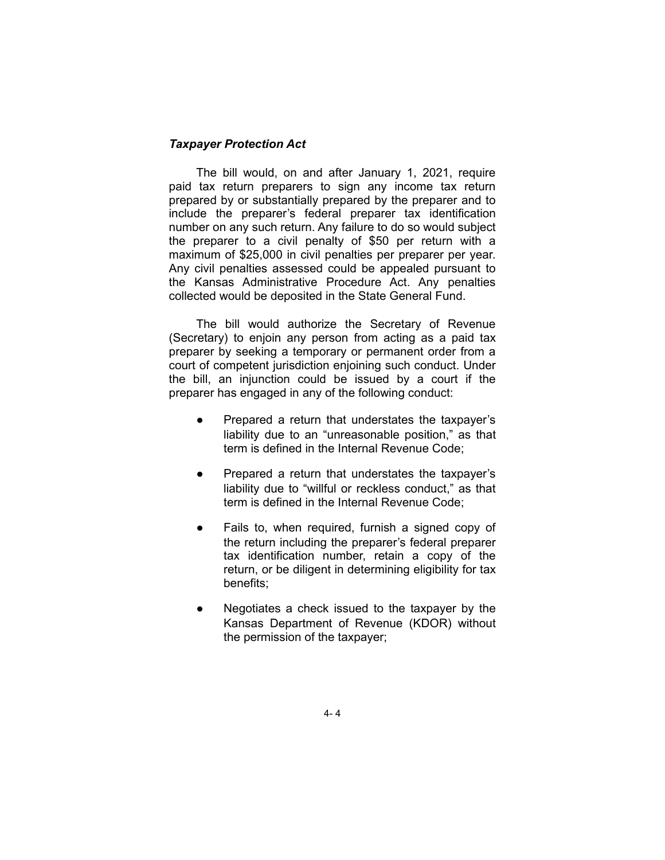## *Taxpayer Protection Act*

The bill would, on and after January 1, 2021, require paid tax return preparers to sign any income tax return prepared by or substantially prepared by the preparer and to include the preparer's federal preparer tax identification number on any such return. Any failure to do so would subject the preparer to a civil penalty of \$50 per return with a maximum of \$25,000 in civil penalties per preparer per year. Any civil penalties assessed could be appealed pursuant to the Kansas Administrative Procedure Act. Any penalties collected would be deposited in the State General Fund.

The bill would authorize the Secretary of Revenue (Secretary) to enjoin any person from acting as a paid tax preparer by seeking a temporary or permanent order from a court of competent jurisdiction enjoining such conduct. Under the bill, an injunction could be issued by a court if the preparer has engaged in any of the following conduct:

- Prepared a return that understates the taxpayer's liability due to an "unreasonable position," as that term is defined in the Internal Revenue Code;
- Prepared a return that understates the taxpayer's liability due to "willful or reckless conduct," as that term is defined in the Internal Revenue Code;
- Fails to, when required, furnish a signed copy of the return including the preparer's federal preparer tax identification number, retain a copy of the return, or be diligent in determining eligibility for tax benefits;
- Negotiates a check issued to the taxpayer by the Kansas Department of Revenue (KDOR) without the permission of the taxpayer;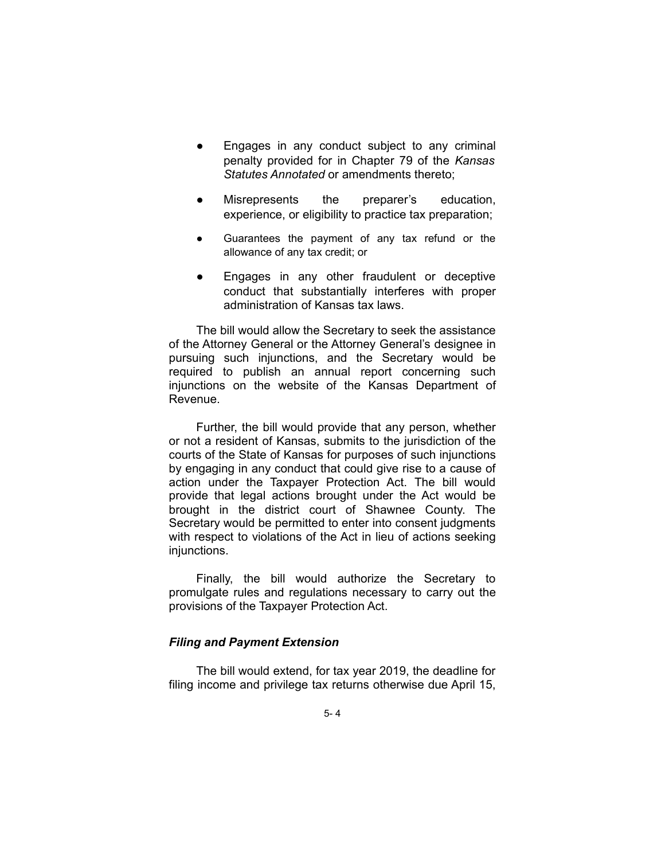- Engages in any conduct subject to any criminal penalty provided for in Chapter 79 of the *Kansas Statutes Annotated* or amendments thereto;
- Misrepresents the preparer's education, experience, or eligibility to practice tax preparation;
- Guarantees the payment of any tax refund or the allowance of any tax credit; or
- Engages in any other fraudulent or deceptive conduct that substantially interferes with proper administration of Kansas tax laws.

The bill would allow the Secretary to seek the assistance of the Attorney General or the Attorney General's designee in pursuing such injunctions, and the Secretary would be required to publish an annual report concerning such injunctions on the website of the Kansas Department of Revenue.

Further, the bill would provide that any person, whether or not a resident of Kansas, submits to the jurisdiction of the courts of the State of Kansas for purposes of such injunctions by engaging in any conduct that could give rise to a cause of action under the Taxpayer Protection Act. The bill would provide that legal actions brought under the Act would be brought in the district court of Shawnee County. The Secretary would be permitted to enter into consent judgments with respect to violations of the Act in lieu of actions seeking injunctions.

Finally, the bill would authorize the Secretary to promulgate rules and regulations necessary to carry out the provisions of the Taxpayer Protection Act.

## *Filing and Payment Extension*

The bill would extend, for tax year 2019, the deadline for filing income and privilege tax returns otherwise due April 15,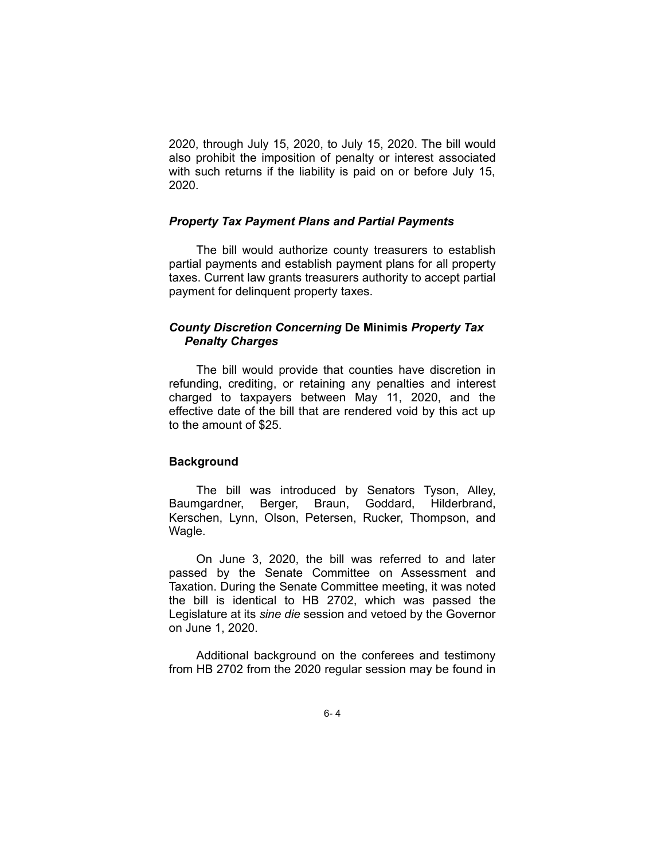2020, through July 15, 2020, to July 15, 2020. The bill would also prohibit the imposition of penalty or interest associated with such returns if the liability is paid on or before July 15, 2020.

## *Property Tax Payment Plans and Partial Payments*

The bill would authorize county treasurers to establish partial payments and establish payment plans for all property taxes. Current law grants treasurers authority to accept partial payment for delinquent property taxes.

# *County Discretion Concerning* **De Minimis** *Property Tax Penalty Charges*

The bill would provide that counties have discretion in refunding, crediting, or retaining any penalties and interest charged to taxpayers between May 11, 2020, and the effective date of the bill that are rendered void by this act up to the amount of \$25.

### **Background**

The bill was introduced by Senators Tyson, Alley, Baumgardner, Berger, Braun, Goddard, Hilderbrand, Kerschen, Lynn, Olson, Petersen, Rucker, Thompson, and Wagle.

On June 3, 2020, the bill was referred to and later passed by the Senate Committee on Assessment and Taxation. During the Senate Committee meeting, it was noted the bill is identical to HB 2702, which was passed the Legislature at its *sine die* session and vetoed by the Governor on June 1, 2020.

Additional background on the conferees and testimony from HB 2702 from the 2020 regular session may be found in